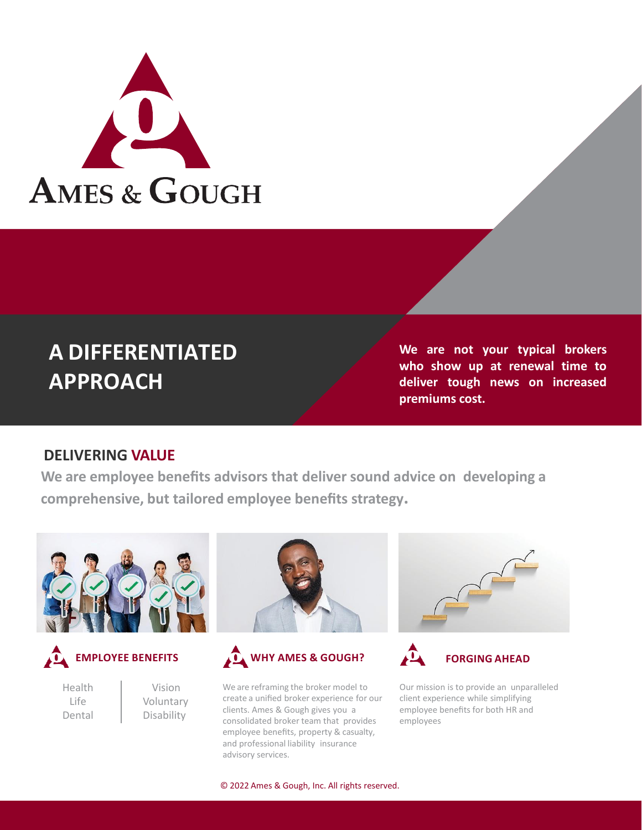

# **A DIFFERENTIATED APPROACH**

**We are not your typical brokers who show up at renewal time to deliver tough news on increased premiums cost.**

#### **DELIVERING VALUE**

**We are employee benefits advisors that deliver sound advice on developing a comprehensive, but tailored employee benefits strategy.**





Health Life Dental

Vision Voluntary Disability



We are reframing the broker model to create a unified broker experience for our clients. Ames & Gough gives you a consolidated broker team that provides employee benefits, property & casualty, and professional liability insurance advisory services.





Our mission is to provide an unparalleled client experience while simplifying employee benefits for both HR and employees

© 2022 Ames & Gough, Inc. All rights reserved.